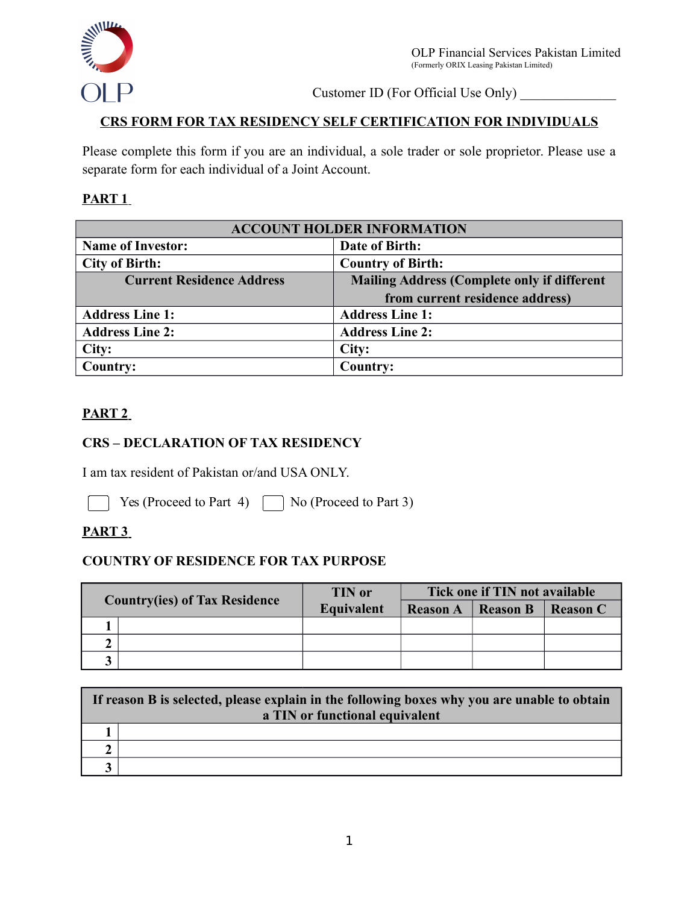

Customer ID (For Official Use Only) \_\_\_\_\_\_\_\_\_\_\_\_\_\_

## **CRS FORM FOR TAX RESIDENCY SELF CERTIFICATION FOR INDIVIDUALS**

Please complete this form if you are an individual, a sole trader or sole proprietor. Please use a separate form for each individual of a Joint Account.

#### **PART 1**

| <b>ACCOUNT HOLDER INFORMATION</b> |                                                    |  |
|-----------------------------------|----------------------------------------------------|--|
| <b>Name of Investor:</b>          | Date of Birth:                                     |  |
| <b>City of Birth:</b>             | <b>Country of Birth:</b>                           |  |
| <b>Current Residence Address</b>  | <b>Mailing Address (Complete only if different</b> |  |
|                                   | from current residence address)                    |  |
| <b>Address Line 1:</b>            | <b>Address Line 1:</b>                             |  |
| <b>Address Line 2:</b>            | <b>Address Line 2:</b>                             |  |
| City:                             | City:                                              |  |
| Country:                          | Country:                                           |  |

### **PART 2**

### **CRS – DECLARATION OF TAX RESIDENCY**

I am tax resident of Pakistan or/and USA ONLY.

Yes (Proceed to Part 4)  $\Box$  No (Proceed to Part 3)

### **PART 3**

#### **COUNTRY OF RESIDENCE FOR TAX PURPOSE**

| <b>Country(ies) of Tax Residence</b> | <b>TIN</b> or<br>Equivalent | Tick one if TIN not available |                 |                 |  |
|--------------------------------------|-----------------------------|-------------------------------|-----------------|-----------------|--|
|                                      |                             | <b>Reason A</b>               | <b>Reason B</b> | <b>Reason C</b> |  |
|                                      |                             |                               |                 |                 |  |
|                                      |                             |                               |                 |                 |  |
|                                      |                             |                               |                 |                 |  |

| If reason B is selected, please explain in the following boxes why you are unable to obtain<br>a TIN or functional equivalent |  |  |
|-------------------------------------------------------------------------------------------------------------------------------|--|--|
|                                                                                                                               |  |  |
|                                                                                                                               |  |  |
|                                                                                                                               |  |  |
|                                                                                                                               |  |  |